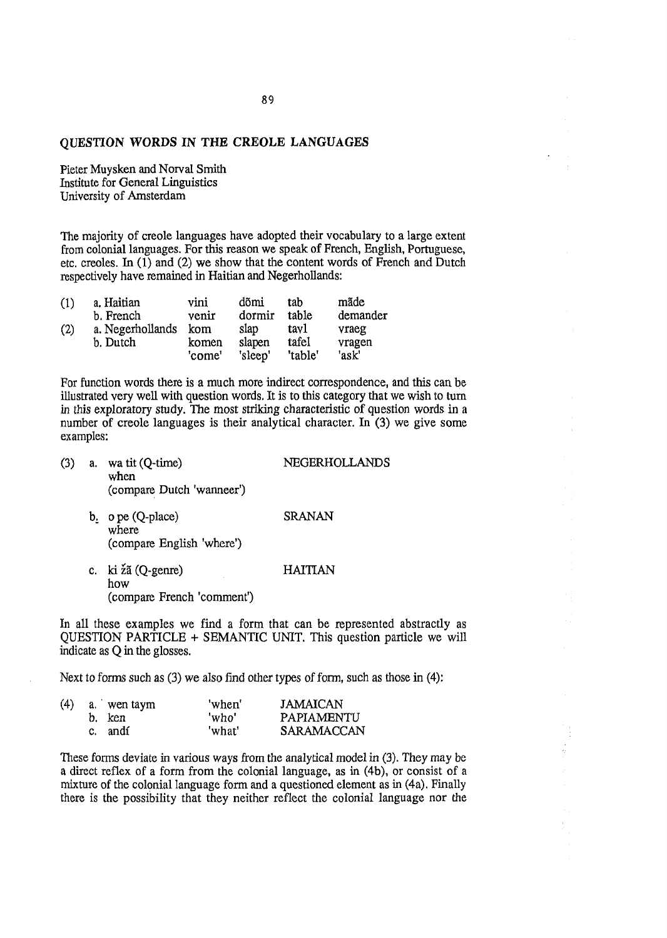# QUESTION WORDS IN THE CREOLE LANGUAGES

Pieter Muysken and Norval Smith Institute for General Linguistics University of Amsterdam

The majority of creole languages have adopted their vocabulary to a large extent from colonial languages. For this reason we speak of French, English, Portuguese, etc. creoles. In (1) and (2) we show that the content words of French and Dutch respectively have remained in Haitian and Negerhollands:

| (1) | a. Haitian       | vini   | dõmi    | tab     | mãde     |
|-----|------------------|--------|---------|---------|----------|
|     | b. French        | venir  | dormir  | table   | demander |
| (2) | a. Negerhollands | kom    | slap    | tavl    | vraeg    |
|     | b. Dutch         | komen  | slapen  | tafel   | vragen   |
|     |                  | 'come' | 'sleep' | 'table' | 'ask'    |

For function words there is a much more indirect correspondence, and this can be illustrated very well with question words. It is to this category that we wish to turn in this exploratory study. The most striking characteristic of question words in a number of creole languages is their analytical character. In (3) we give some examples:

- (3) a. wa tit (Q-time) when (compare Dutch 'wanneer') NEGERHOLLANDS
	- b. o pe (Q-place) where (compare English 'where') SRANAN
	- c. ki zâ (Q-genre) how (compare French 'comment') HAITIAN

In all these examples we find a form that can be represented abstractly as QUESTION PARTICLE + SEMANTIC UNIT. This question particle we will indicate as Q in the glosses.

Next to forms such as (3) we also find other types of form, such as those in (4):

|  | $(4)$ a. wen taym | 'when' | <b>JAMAICAN</b>   |
|--|-------------------|--------|-------------------|
|  | b. ken            | 'who'  | PAPIAMENTU        |
|  | c. andí           | 'what' | <b>SARAMACCAN</b> |

These forms deviate in various ways from the analytical model in (3). They may be a direct reflex of a form from the colonial language, as in (4b), or consist of a mixture of the colonial language form and a questioned element as in (4a). Finally there is the possibility that they neither reflect the colonial language nor the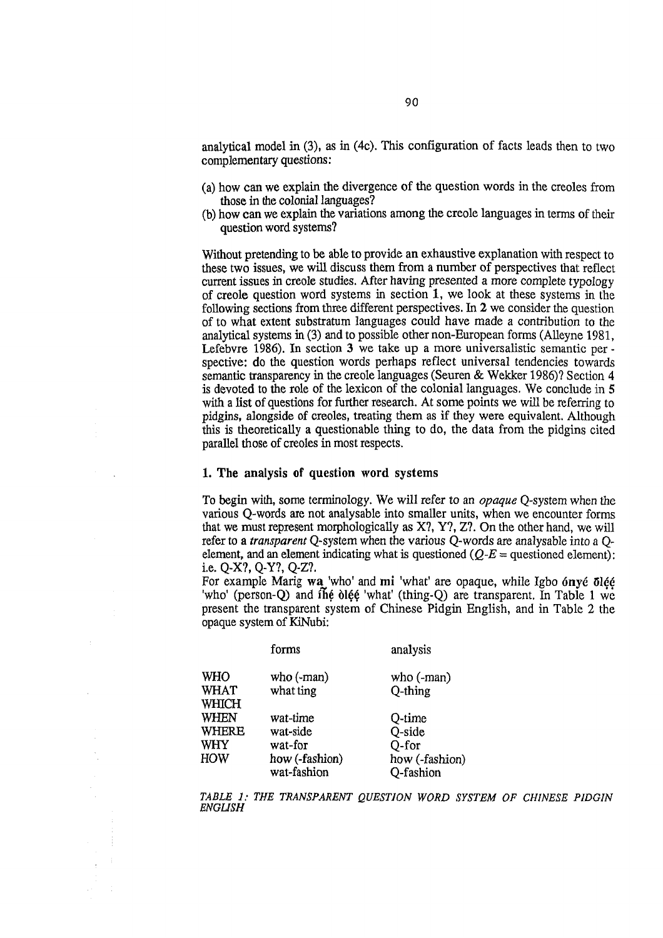analytical model in (3), as in (4c). This configuration of facts leads then to two complementary questions:

- (a) how can we explain the divergence of the question words in the creoles from those in the colonial languages?
- (b) how can we explain the variations among the creole languages in terms of their question word systems?

Without pretending to be able to provide an exhaustive explanation with respect to these two issues, we will discuss them from a number of perspectives that reflect current issues in creole studies. After having presented a more complete typology of creole question word systems in section 1, we look at these systems in the following sections from three different perspectives. In 2 we consider the question of to what extent substratum languages could have made a contribution to the analytical systems in (3) and to possible other non-European forms (Alleyne 1981, Lefebvre 1986). In section 3 we take up a more universalistic semantic per spective: do the question words perhaps reflect universal tendencies towards semantic transparency in the creole languages (Seuren & Wekker 1986)? Section 4 is devoted to the role of the lexicon of the colonial languages. We conclude in 5 with a list of questions for further research. At some points we will be referring to pidgins, alongside of creoles, treating them as if they were equivalent. Although this is theoretically a questionable thing to do, the data from the pidgins cited parallel those of creoles in most respects.

### 1. The analysis of question word systems

To begin with, some terminology. We will refer to an *opaque* Q-system when the various Q-words are not analysable into smaller units, when we encounter forms that we must represent morphologically as X?, Y?, Z?. On the other hand, we will refer to a *transparent* Q-system when the various Q-words are analysable into a Qelement, and an element indicating what is questioned  $(Q-E =$  questioned element): i.e. Q~X?, Q-Y?, Q-Z?.

For example Marig wa 'who' and mi 'what' are opaque, while Igbo *6nvé 5léé* 'who' (person-Q) and  $i\hbar\dot{\theta}$  olest 'what' (thing-Q) are transparent. In Table 1 we present the transparent system of Chinese Pidgin English, and in Table 2 the opaque system of KiNubi;

|              | forms          | analysis       |
|--------------|----------------|----------------|
| WHO          | who $(-man)$   | who $(-man)$   |
| <b>WHAT</b>  | what ting      | $Q$ -thing     |
| <b>WHICH</b> |                |                |
| <b>WHEN</b>  | wat-time       | Q-time         |
| <b>WHERE</b> | wat-side       | Q-side         |
| <b>WHY</b>   | wat-for        | Q-for          |
| <b>HOW</b>   | how (-fashion) | how (-fashion) |
|              | wat-fashion    | Q-fashion      |
|              |                |                |

*TABLE 1: THE TRANSPARENT QUESTION WORD SYSTEM OF CHINESE PIDGIN ENGUSH*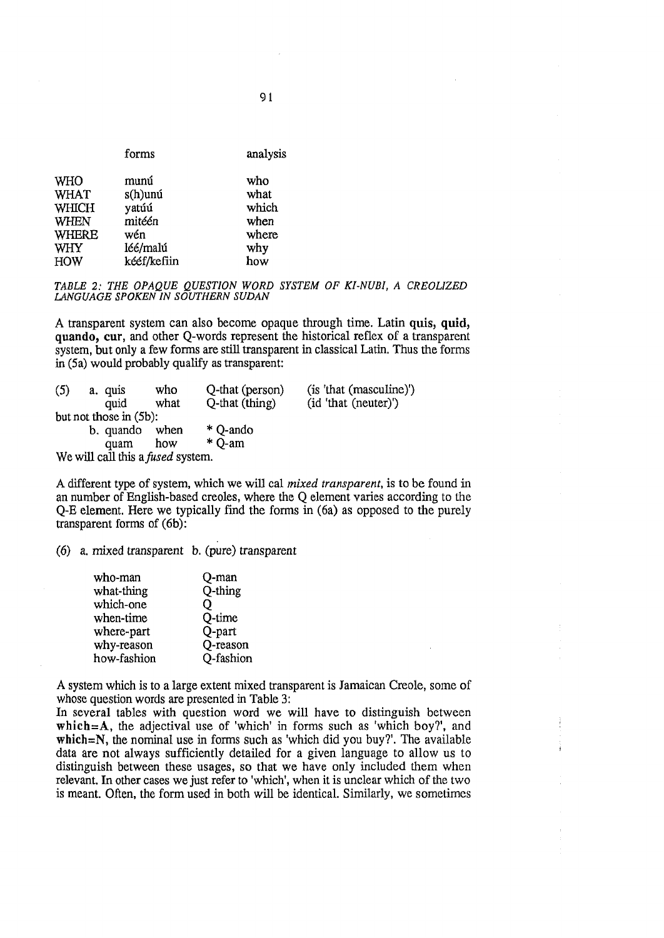| forms                     | analysis |
|---------------------------|----------|
| <b>WHO</b><br>munú        | who      |
| <b>WHAT</b><br>$s(h)$ unú | what     |
| <b>WHICH</b><br>yatúú     | which    |
| mitéén<br><b>WHEN</b>     | when     |
| <b>WHERE</b><br>wén       | where    |
| léé/malú<br><b>WHY</b>    | why      |
| kééf/kefiin<br><b>HOW</b> | how      |

*TABLE 2: THE OPAQUE QUESTION WORD SYSTEM OF KI-NUBI, A CREOLIZED LANGUAGE SPOKEN IN SOUTHERN SUDAN*

A transparent system can also become opaque through time. Latin quis, quid, quando, cur, and other Q-words represent the historical reflex of a transparent system, but only a few forms are still transparent in classical Latin. Thus the forms in (5a) would probably qualify as transparent:

| (5) |                                          | a, quis                | who  | Q-that (person) | (is 'that (masculine)') |  |  |  |
|-----|------------------------------------------|------------------------|------|-----------------|-------------------------|--|--|--|
|     |                                          | quid                   | what | Q-that (thing)  | (id 'that (neuter)')    |  |  |  |
|     |                                          | but not those in (5b): |      |                 |                         |  |  |  |
|     |                                          | b. quando              | when | * Q-ando        |                         |  |  |  |
|     |                                          | quam                   | how  | $*$ O-am        |                         |  |  |  |
|     | We will call this a <i>fused</i> system. |                        |      |                 |                         |  |  |  |

A different type of system, which we will cal *mixed transparent,* is to be found in an number of English-based creoles, where the Q element varies according to the Q-E element. Here we typically find the forms in (6a) as opposed to the purely transparent forms of (6b):

(6) a. mixed transparent b. (pure) transparent

| who-man     | Q-man     |
|-------------|-----------|
| what-thing  | Q-thing   |
| which-one   | Ő         |
| when-time   | Q-time    |
| where-part  | Q-part    |
| why-reason  | Q-reason  |
| how-fashion | Q-fashion |
|             |           |

A system which is to a large extent mixed transparent is Jamaican Creole, some of whose question words are presented in Table 3:

In several tables with question word we will have to distinguish between which= $A$ , the adjectival use of 'which' in forms such as 'which boy?', and which $=N$ , the nominal use in forms such as 'which did you buy?'. The available data are not always sufficiently detailed for a given language to allow us to distinguish between these usages, so that we have only included them when relevant. In other cases we just refer to 'which', when it is unclear which of the two is meant. Often, the form used in both will be identical. Similarly, we sometimes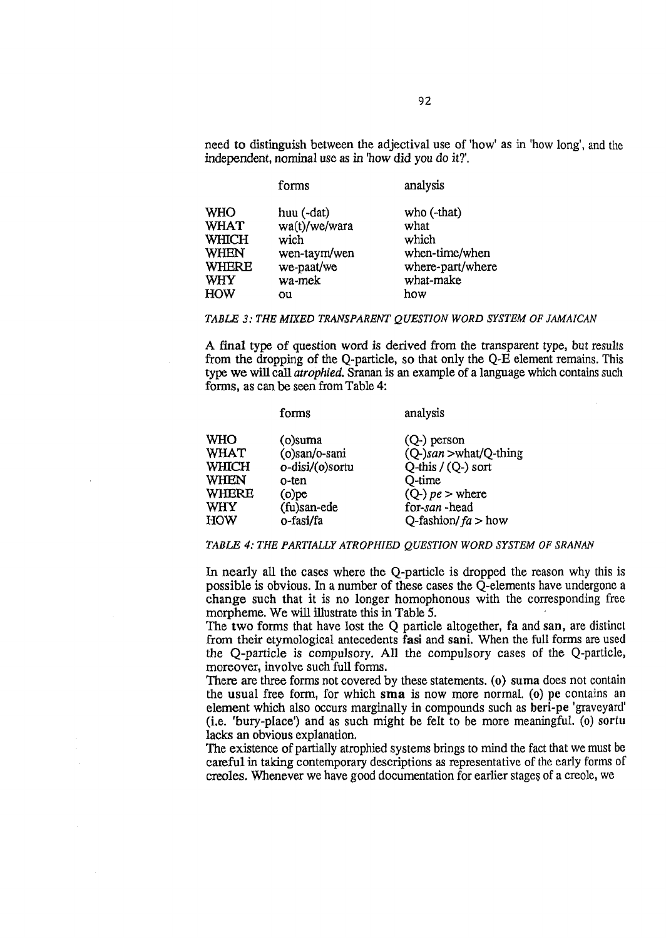need to distinguish between the adjectival use of 'how' as in 'how long', and the independent, nominal use as in 'how did you do it?'.

|                                                                                                      | forms                                                                             | analysis                                                                               |
|------------------------------------------------------------------------------------------------------|-----------------------------------------------------------------------------------|----------------------------------------------------------------------------------------|
| <b>WHO</b><br><b>WHAT</b><br><b>WHICH</b><br><b>WHEN</b><br><b>WHERE</b><br><b>WHY</b><br><b>HOW</b> | huu (-dat)<br>wa(t)/we/wara<br>wich<br>wen-taym/wen<br>we-paat/we<br>wa-mek<br>ou | who (-that)<br>what<br>which<br>when-time/when<br>where-part/where<br>what-make<br>how |
|                                                                                                      |                                                                                   |                                                                                        |

#### *TABLE 3: THE MIXED TRANSPARENT QUESTION WORD SYSTEM OF JAMAICAN*

A final type of question word is derived from the transparent type, but results from the dropping of the Q-particle, so that only the Q-E element remains. This type we will call *atrophied*. Sranan is an example of a language which contains such forms, as can be seen from Table 4:

|              | forms           | analysis              |
|--------------|-----------------|-----------------------|
| <b>WHO</b>   | $(o)$ suma      | $(Q-)$ person         |
| <b>WHAT</b>  | (o)san/o-sani   | (Q-)san >what/Q-thing |
| <b>WHICH</b> | o-disi/(o)sortu | Q-this $/(Q-)$ sort   |
| <b>WHEN</b>  | o-ten           | Q-time                |
| <b>WHERE</b> | $(o)$ pe        | $(Q-)$ $pe$ > where   |
| <b>WHY</b>   | (fu)san-ede     | for-san-head          |
| HOW          | o-fasi/fa       | Q-fashion/ $fa > how$ |

#### *TABLE 4; THE PARTIALLY ATROPHIED QUESTION WORD SYSTEM OF SRANAN*

In nearly all the cases where the Q-particle is dropped the reason why this is possible is obvious. In a number of these cases the Q-elements have undergone a change such that it is no longer homophonous with the corresponding free morpheme. We will illustrate this in Table 5.

The two forms that have lost the  $Q$  particle altogether, fa and san, are distinct from their etymological antecedents fasi and sani. When the full forms are used the Q -particle is compulsory. A ll the compulsory cases of the Q-particle, moreover, involve such full forms.

There are three forms not covered by these statements, (o) suma does not contain the usual free form, for which sma is now more normal, (o) pe contains an element which also occurs marginally in compounds such as beri-pe 'graveyard' (i.e. 'bury-place') and as such might be felt to be more meaningful, (o) sortu lacks an obvious explanation.

The existence of partially atrophied systems brings to mind the fact that we must be careful in taking contemporary descriptions as representative of the early forms of creoles. Whenever we have good documentation for earlier stages of a creole, we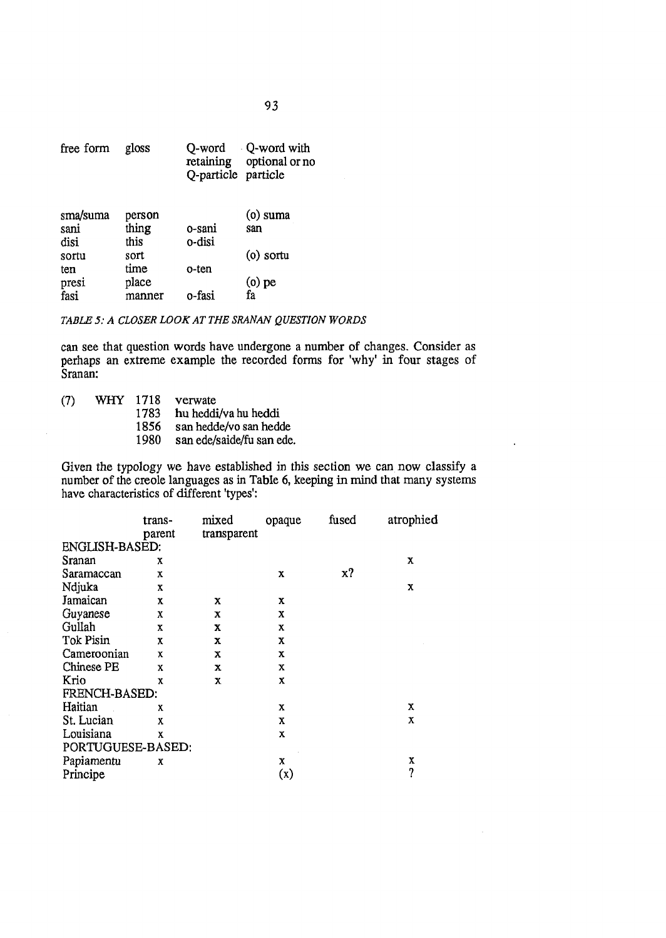| free form | gloss  | Q-word<br>Q-particle particle | Q-word with<br>retaining optional or no |
|-----------|--------|-------------------------------|-----------------------------------------|
| sma/suma  | person |                               | $(o)$ suma                              |
| sani      | thing  | 0-sani                        | san                                     |
| disi      | this   | o-disi                        |                                         |
| sortu     | sort   |                               | $(o)$ sortu                             |
| ten       | time   | o-ten                         |                                         |
| presi     | place  |                               | $(0)$ pe                                |
| fasi      | manner | o-fasi                        | fa                                      |

# TABLE 5: A CLOSER LOOK AT THE SRANAN QUESTION WORDS

can see that question words have undergone a number of changes. Consider as perhaps an extreme example the recorded forms for 'why' in four stages of Sranan:

WHY 1718  $(7)$ verwate

1783 hu heddi/va hu heddi

1856 san hedde/vo san hedde

1980 san ede/saide/fu san ede.

Given the typology we have established in this section we can now classify a number of the creole languages as in Table 6, keeping in mind that many systems have characteristics of different 'types':

 $\ddot{\phantom{a}}$ 

|                       | trans-      | mixed       | opaque      | fused | atrophied |
|-----------------------|-------------|-------------|-------------|-------|-----------|
| <b>ENGLISH-BASED:</b> | parent      | transparent |             |       |           |
|                       |             |             |             |       |           |
| Sranan                | X           |             |             |       | x         |
| Saramaccan            | $\mathbf x$ |             | x           | x?    |           |
| Ndjuka                | x           |             |             |       | X         |
| Jamaican              | x           | x           | x           |       |           |
| Guyanese              | X           | x           | X           |       |           |
| Gullah                | $\mathbf x$ | x           | X           |       |           |
| Tok Pisin             | x           | x           | X           |       |           |
| Cameroonian           | X           | x           | X           |       |           |
| Chinese PE            | X           | x           | $\mathbf x$ |       |           |
| Krio                  | χ           | x           | $\bf{X}$    |       |           |
| FRENCH-BASED:         |             |             |             |       |           |
| Haitian               | X           |             | x           |       | х         |
| St. Lucian            | X           |             | X           |       | х         |
| Louisiana             | X           |             | x           |       |           |
| PORTUGUESE-BASED:     |             |             |             |       |           |
| Papiamentu            | x           |             | X           |       | X         |
| Principe              |             |             | (x)         |       | 7         |
|                       |             |             |             |       |           |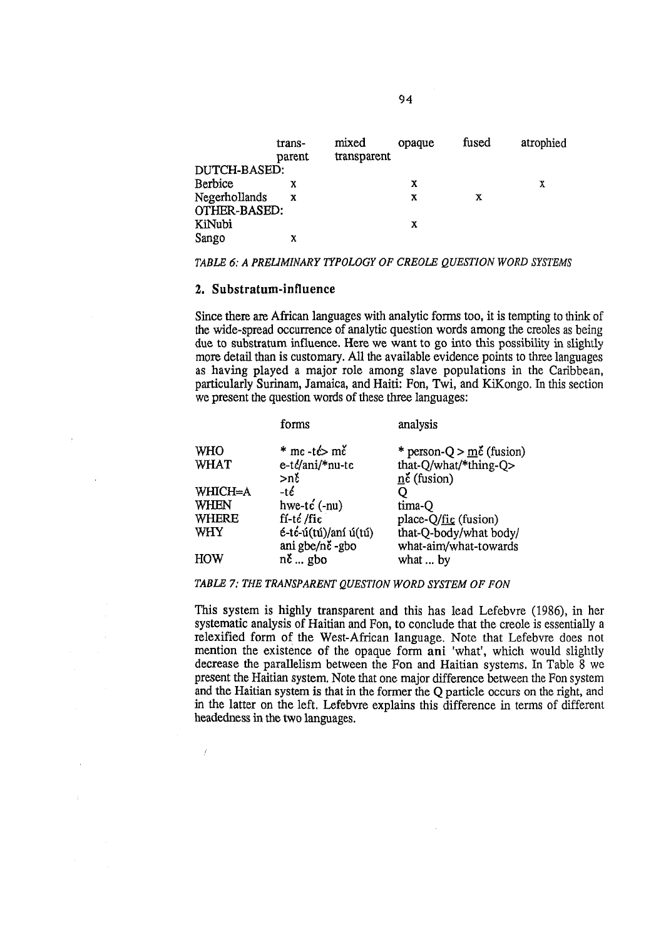|                               | trans-<br>parent | mixed<br>transparent | opaque | fused | atrophied |
|-------------------------------|------------------|----------------------|--------|-------|-----------|
| DUTCH-BASED:                  |                  |                      |        |       |           |
| <b>Berbice</b>                | х                |                      | x      |       | X         |
| Negerhollands<br>OTHER-BASED: | X                |                      | x      | х     |           |
| KiNubi                        |                  |                      | x      |       |           |
| Sango                         | x                |                      |        |       |           |

### *TABLE 6; A PRELIMINARY TYPOLOGY OF CREOLE QUESTION WORD SYSTEMS*

# 2. Substratum -influence

 $\overline{f}$ 

Since there are African languages with analytic forms too, it is tempting to think of the wide-spread occurrence of analytic question words among the creoles as being due to substratum influence. Here we want to go into this possibility in slightly more detail than is customary. All the available evidence points to three languages as having played a major role among slave populations in the Caribbean, particularly Surinam, Jamaica, and Haiti: Fon, Twi, and KiKongo. In this section we present the question words of these three languages:

|             | forms                                       | analysis                                    |
|-------------|---------------------------------------------|---------------------------------------------|
| WHO         | $*$ me-t $\leftrightarrow$ me               | * person- $Q > m\zeta$ (fusion)             |
| <b>WHAT</b> | e-té/ani/*nu-te                             | that-Q/what/*thing-O>                       |
|             | >ně                                         | $n\zeta$ (fusion)                           |
| WHICH=A     | -té                                         |                                             |
| WHEN        | hwe-te $(-nu)$                              | tima-O                                      |
| WHERE       | $\operatorname{ff-t\'e}/\operatorname{fic}$ | place- $Q/\underline{\text{fi}}_C$ (fusion) |
| WHY         | é-té-ú(tú)/aní ú(tú)                        | that-Q-body/what body/                      |
|             | ani gbe/nč-gbo                              | what-aim/what-towards                       |
| HOW         | $n\zeta$ gbo                                | what  by                                    |

### *TABLE 7: THE TRANSPARENT QUESTION WORD SYSTEM OF FON*

This system is highly transparent and this has lead Lefebvre (1986), in her systematic analysis of Haitian and Fon, to conclude that the creole is essentially a relexified form of the West-African language. Note that Lefebvre does not mention the existence of the opaque form ani 'what', which would slightly decrease the parallelism between the Fon and Haitian systems. In Table 8 we present the Haitian system. Note that one major difference between the Fon system and the Haitian system is that in the former the Q particle occurs on the right, and in the latter on the left. Lefebvre explains this difference in terms of different headedness in the two languages.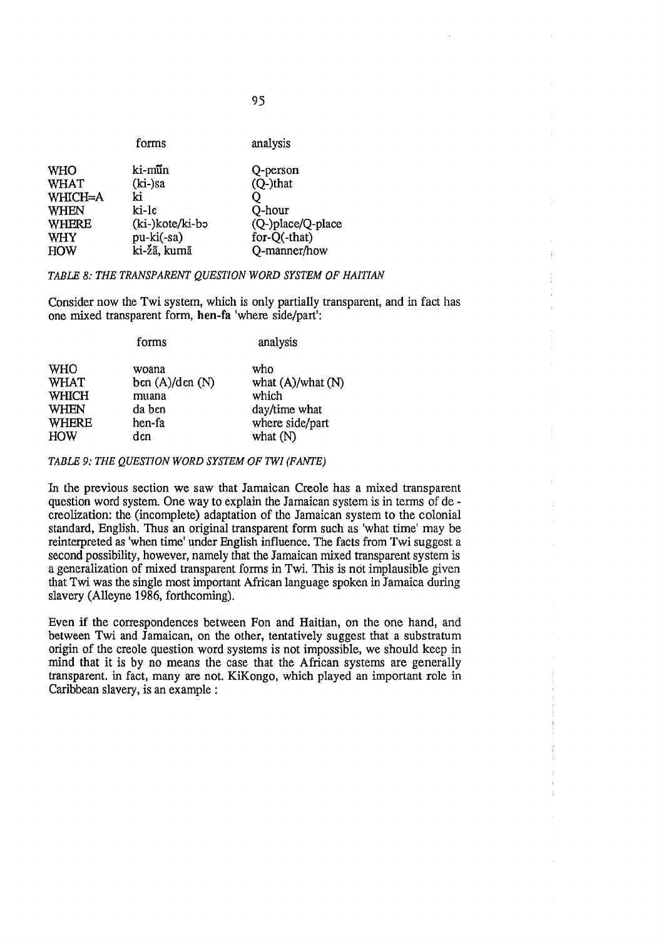|              | forms           | analysis          |
|--------------|-----------------|-------------------|
| <b>WHO</b>   | ki-mũn          | Q-person          |
| <b>WHAT</b>  | $(ki-)sa$       | (Q-)that          |
| WHICH=A      | ki              |                   |
| <b>WHEN</b>  | ki-le           | Q-hour            |
| <b>WHERE</b> | (ki-)kote/ki-bo | (Q-)place/Q-place |
| <b>WHY</b>   | pu-ki(-sa)      | for-Q(-that)      |
| <b>HOW</b>   | ki-žã, kumã     | Q-manner/how      |
|              |                 |                   |

*TABLE 8: THE TRANSPARENT QUESTION WORD SYSTEM OF HAITIAN*

Consider now the Twi system, which is only partially transparent, and in fact has one mixed transparent form, hen-fa 'where side/part':

|              | forms            | analysis               |
|--------------|------------------|------------------------|
| <b>WHO</b>   | woana            | who                    |
| <b>WHAT</b>  | ben $(A)/den(N)$ | what $(A)/$ what $(N)$ |
| <b>WHICH</b> | muana            | which                  |
| <b>WHEN</b>  | da ben           | day/time what          |
| <b>WHERE</b> | hen-fa           | where side/part        |
| <b>HOW</b>   | dcn              | what $(N)$             |

*TABLE 9: THE QUESTION WORD SYSTEM OF TWI (FANTE)*

In the previous section we saw that Jamaican Creole has a mixed transparent question word system. One way to explain the Jamaican system is in terms of de creolization: the (incomplete) adaptation of the Jamaican system to the colonial standard, English. Thus an original transparent form such as 'what time' may be reinterpreted as 'when time' under English influence. The facts from Twi suggest a second possibility, however, namely that the Jamaican mixed transparent system is a generalization of mixed transparent forms in Twi. This is not implausible given that Twi was the single most important African language spoken in Jamaica during slavery (Alleyne 1986, forthcoming).

Even if the correspondences between Fon and Haitian, on the one hand, and between Twi and Jamaican, on the other, tentatively suggest that a substratum origin of the creole question word systems is not impossible, we should keep in mind that it is by no means the case that the African systems are generally transparent, in fact, many are not. KiKongo, which played an important role in Caribbean slavery, is an example ;

**95**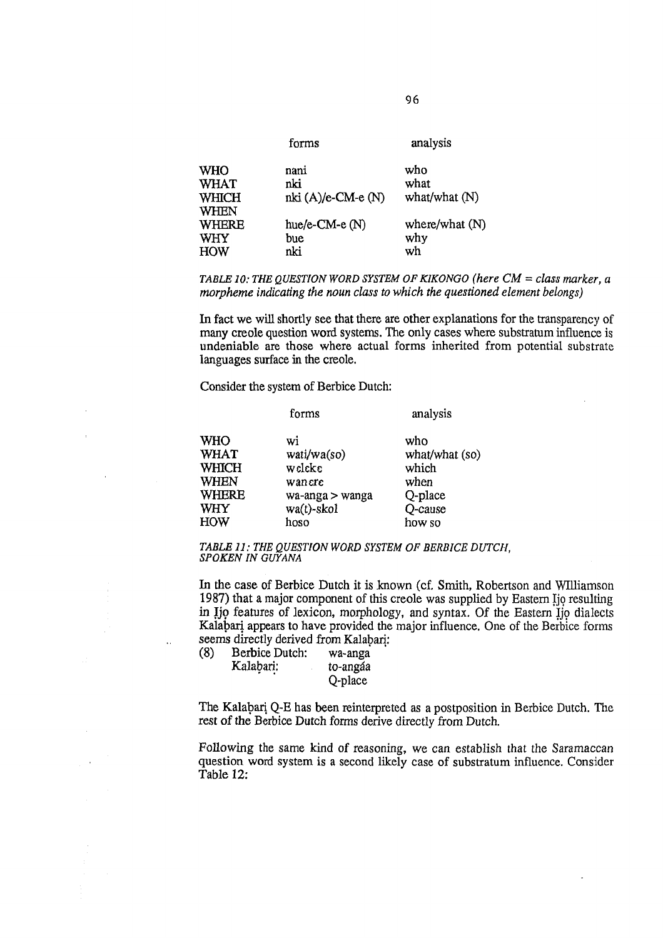| forms                | analysis       |
|----------------------|----------------|
| nani                 | who            |
| nki                  | what           |
| $nki(A)/e$ -CM-e (N) | what/what (N)  |
|                      |                |
| hue/e-CM-e $(N)$     | where/what (N) |
| bue                  | why            |
| nki                  | wh             |
|                      |                |

*TABLE 10: THE QUESTION WORD SYSTEM OF KIKONGO (here*  $CM = class marker$ *, a morpheme indicating the noun class to which the questioned element belongs)* 

In fact we will shortly see that there are other explanations for the transparency of many creole question word systems. The only cases where substratum influence is undeniable are those where actual forms inherited from potential substrate languages surface in the creole.

Consider the system of Berbice Dutch:

| <b>WHO</b>   | wi              | who            |
|--------------|-----------------|----------------|
| <b>WHAT</b>  | wati/wa(so)     | what/what (so) |
| WHICH        | weleke          | which          |
| <b>WHEN</b>  | wanere          | when           |
| <b>WHERE</b> | wa-anga > wanga | Q-place        |
| WHY          | $wa(t)$ -skol   | Q-cause        |
| <b>HOW</b>   | hoso            | how so         |

forms analysis

*TABLE 11: THE QUESTION WORD SYSTEM OF BERBICE DUTCH*, *SPOKEN IN GUYANA*

In the case of Berbice Dutch it is known (cf. Smith, Robertson and Williamson 1987) that a major component of this creole was supplied by Eastern Ijo resulting in Ijo features of lexicon, morphology, and syntax. Of the Eastern Ijo dialects Kalahari appears to have provided the major influence. One of the Berbice forms seems directly derived from Kalabari:<br>(8) Berbice Dutch: wa-anga

| (8) | Berbice Dutch: | wa-anga  |
|-----|----------------|----------|
|     | Kalabari:      | to-angáa |
|     |                | Q-place  |

 $\ddot{\phantom{a}}$ 

The Kalahari Q-E has been reinterpreted as a postposition in Berbice Dutch. The rest of the Berbice Dutch forms derive directly from Dutch.

Following the same kind of reasoning, we can establish that the Saramaccan question word system is a second likely case of substratum influence. Consider Table 12: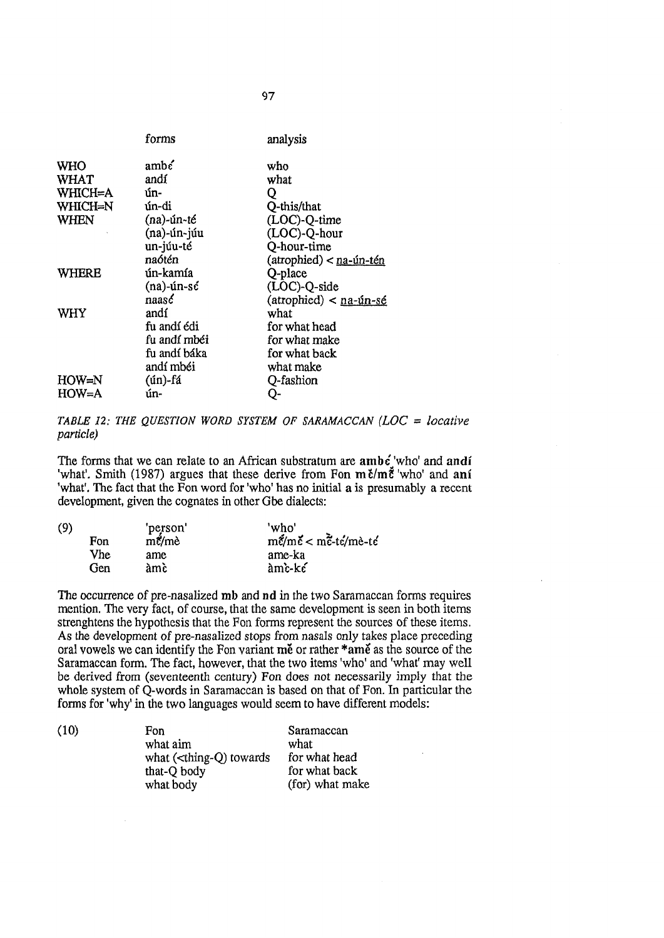|             | forms         | analysis                  |
|-------------|---------------|---------------------------|
| <b>WHO</b>  | amb'          | who                       |
| <b>WHAT</b> | andí          | what                      |
| WHICH=A     | ún-           | Q                         |
| WHICH=N     | ún-di         | Q-this/that               |
| <b>WHEN</b> | $(na)$ -ún-té | (LOC)-Q-time              |
|             | (na)-ún-júu   | (LOC)-Q-hour              |
|             | un-júu-té     | Q-hour-time               |
|             | naótén        | $(atrophied) < na·ún-tén$ |
| WHERE       | ún-kamía      | Q-place                   |
|             | $(na)$ -ún-sć | (LOC)-Q-side              |
|             | naase         | $(atrophied) < na-ún-sé$  |
| WHY         | andí          | what                      |
|             | fu andí édi   | for what head             |
|             | fu andí mbéi  | for what make             |
|             | fu andí báka  | for what back             |
|             | andí mbéi     | what make                 |
| $HOW=N$     | (ún)-fá       | Q-fashion                 |
| $HOW=A$     | ún-           | Ų-                        |
|             |               |                           |

*TABLE 12: THE QUESTION WORD SYSTEM OF SARAMACCAN (LOC = locative particle)*

The forms that we can relate to an African substratum are  $ambc'$  who' and andi 'what'. Smith (1987) argues that these derive from Fon  $m \tilde{\epsilon}$ 'who' and ani 'what'. The fact that the Fon word for 'who' has no initial a is presumably a recent development, given the cognates in other Gbe dialects:

| (9) |            | 'person'                | 'who'                                                               |
|-----|------------|-------------------------|---------------------------------------------------------------------|
|     | Fon        | $m\acute{e}/m\grave{e}$ | $m\tilde{\epsilon}/m\tilde{\epsilon} < m\tilde{\epsilon}$ -te/mè-te |
|     | <b>Vhe</b> | ame                     | ame-ka                                                              |
|     | Gen        | àmè                     | àmc-ke                                                              |

The occurrence of pre-nasalized mb and nd in the two Saramaccan forms requires mention. The very fact, of course, that the same development is seen in both items strengthens the hypothesis that the Fon forms represent the sources of these items. As the development of pre-nasalized stops from nasals only takes place preceding oral vowels we can identify the Fon variant me or rather \*ame as the source of the Saramaccan form. The fact, however, that the two items 'who' and 'what' may well be derived from (seventeenth century) Fon does not necessarily imply that the whole system of O-words in Saramaccan is based on that of Fon. In particular the forms for 'why' in the two languages would seem to have different models:

(10) Fon Saramaccan<br>what aim what<br>what what aim  $\frac{1}{2}$  what what (<thing-O) towards for what head what (<thing-Q) towards for what head<br>that-O body for what back that-Q body what body (for) what make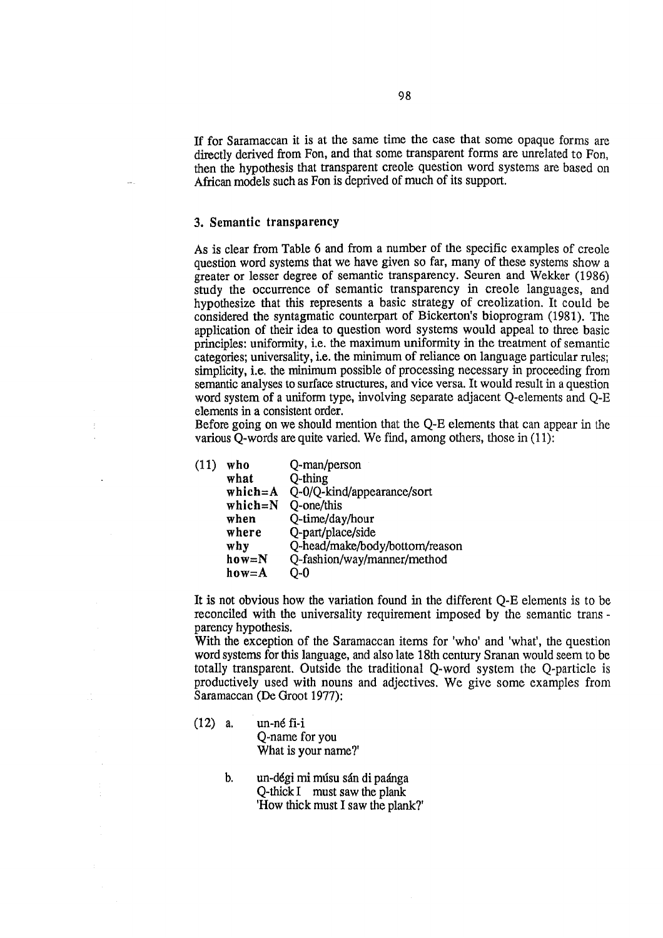If for Saramaccan it is at the same time the case that some opaque forms are directly derived from Fon, and that some transparent forms are unrelated to Fon, then the hypothesis that transparent creole question word systems are based on African models such as Fon is deprived of much of its support.

# 3. Semantic transparency

As is clear from Table 6 and from a number of the specific examples of creole question word systems that we have given so far, many of these systems show a greater or lesser degree of semantic transparency. Seuren and Wekker (1986) study the occurrence of semantic transparency in creole languages, and hypothesize that this represents a basic strategy of creolization. It could be considered the syntagmatic counterpart of Bickerton's bioprogram (1981). The application of their idea to question word systems would appeal to three basic principles: uniformity, i,e. the maximum uniformity in the treatment of semantic categories; universality, i.e. the minimum of reliance on language particular rules; simplicity, i.e. the minimum possible of processing necessary in proceeding from semantic analyses to surface structures, and vice versa. It would result in a question word system of a uniform type, involving separate adjacent Q-elements and Q-E elements in a consistent order.

Before going on we should mention that the Q-E elements that can appear in the various Q-words are quite varied. We find, among others, those in (11):

| (11) | who         | Q-man/person                   |
|------|-------------|--------------------------------|
|      | what        | Q-thing                        |
|      | $which = A$ | Q-0/Q-kind/appearance/sort     |
|      | $which = N$ | Q-one/this                     |
|      | when        | Q-time/day/hour                |
|      | where       | Q-part/place/side              |
|      | why         | Q-head/make/body/bottom/reason |
|      | $how=N$     | Q-fashion/way/manner/method    |
|      | $how = A$   | O-0                            |
|      |             |                                |

It is not obvious how the variation found in the different Q-E elements is to be reconciled with the universality requirement imposed by the semantic trans parency hypothesis.

With the exception of the Saramaccan items for 'who' and 'what', the question word systems for this language, and also late 18th century Sranan would seem to be totally transparent. Outside the traditional Q~word system the Q-particle is productively used with nouns and adjectives. We give some examples from Saramaccan (De Groot 1977):

(12) a. un-né fi-i

Q-name for you What is your name?'

b. un-dégi mi musu sân di paànga Q-thick I must saw the plank 'How thick must I saw the plank?'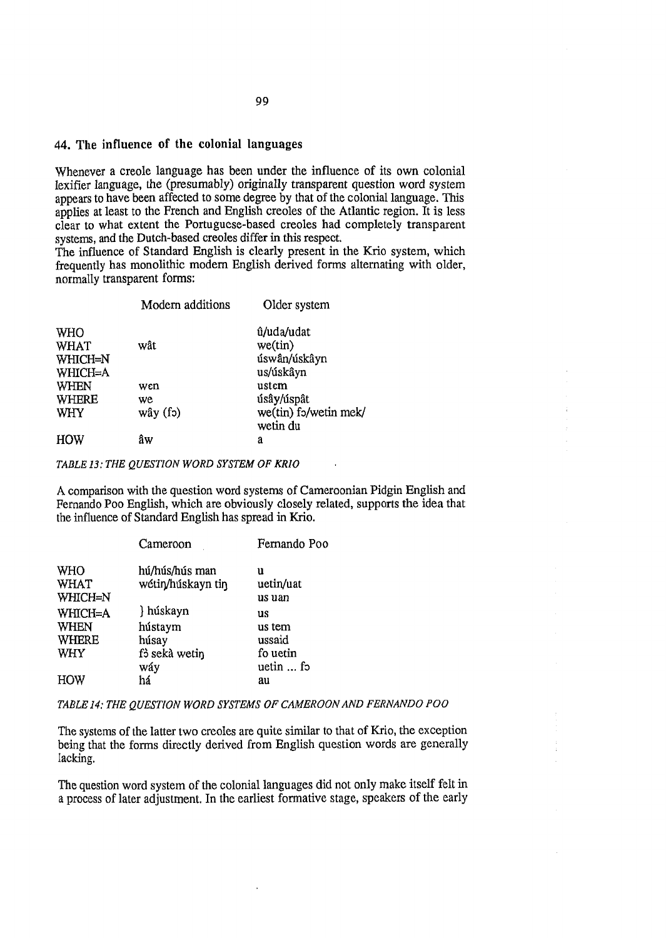# 44. The influence of the colonial languages

Whenever a creole language has been under the influence of its own colonial lexifier language, the (presumably) originally transparent question word system appears to have been affected to some degree by that of the colonial language. This applies at least to the French and English creoles of the Atlantic region. It is less clear to what extent the Portuguese-based creoles had completely transparent systems, and the Dutch-based creoles differ in this respect,

The influence of Standard English is clearly present in the Krio system, which frequently has monolithic modern English derived forms alternating with older, normally transparent forms:

|                        | Modern additions | Older system                      |
|------------------------|------------------|-----------------------------------|
| <b>WHO</b>             |                  | û/uda/udat                        |
| <b>WHAT</b><br>WHICH=N | wât              | $we$ (tin)<br>úswân/úskâyn        |
| WHICH=A                |                  | us/úskâyn                         |
| <b>WHEN</b>            | wcn              | ustem                             |
| <b>WHERE</b>           | we               | úsây/úspât                        |
| WHY                    | wây (fo)         | we(tin) fo/wetin mek/<br>wetin du |
| HOW                    | âw               | a                                 |

TABLE 13: THE QUESTION WORD SYSTEM OF KRIO

A comparison with the question word systems of Cameroonian Pidgin English and Fernando Poo English, which are obviously closely related, supports the idea that the influence of Standard English has spread in Krio.

|              | Cameroon          | Fernando Poo      |
|--------------|-------------------|-------------------|
| WHO          | hú/hús/hús man    | u                 |
| WHAT         | wétin/húskayn tin | uetin/uat         |
| WHICH=N      |                   | us uan            |
| WHICH=A      | } húskayn         | us                |
| <b>WHEN</b>  | hústaym           | us tem            |
| <b>WHERE</b> | húsay             | ussaid            |
| <b>WHY</b>   | f3 sekà wetin     | fo uetin          |
|              | wáy               | uetin $\ldots$ fo |
| HOW          | há                | au                |

#### TABLE 14: THE QUESTION WORD SYSTEMS OF CAMEROON AND FERNANDO POO

The systems of the latter two creoles are quite similar to that of Krio, the exception being that the forms directly derived from English question words are generally lacking.

The question word system of the colonial languages did not only make itself felt in a process of later adjustment. In the earliest formative stage, speakers of the early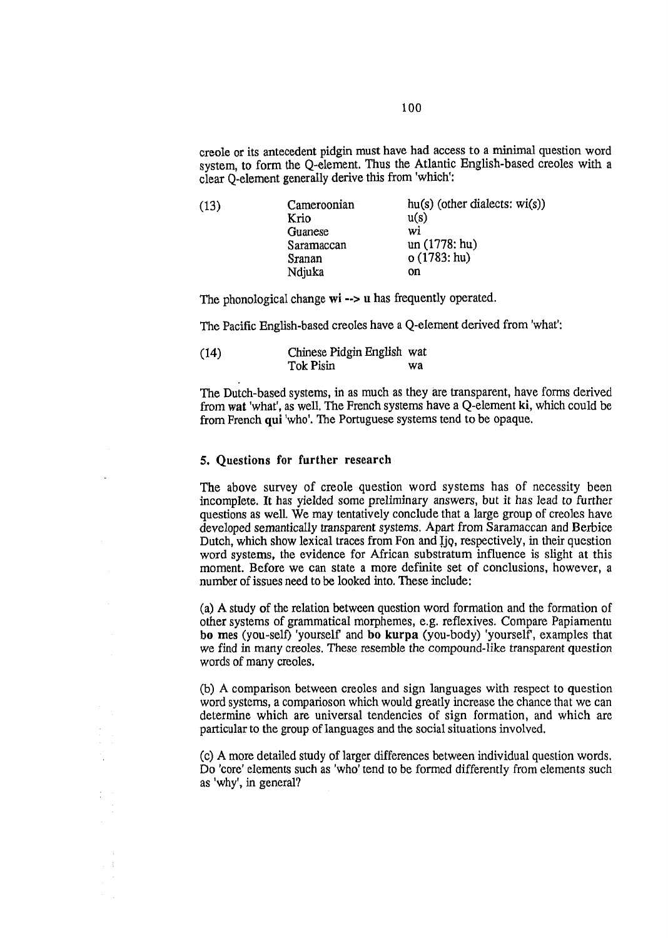creole or its antecedent pidgin must have had access to a minimal question word system, to form the Q-element. Thus the Atlantic English-based creoles with a clear Q-element generally derive this from 'which':

| (13) | Cameroonian | $hu(s)$ (other dialects: wi(s)) |
|------|-------------|---------------------------------|
|      | Krio        | u(s)                            |
|      | Guanese     | wi                              |
|      | Saramaccan  | un (1778: hu)                   |
|      | Sranan      | o(1783; hu)                     |
|      | Ndjuka      | on                              |

The phonological change wi  $\rightarrow$  u has frequently operated.

The Pacific English-based creoles have a Q-element derived from 'what':

| (14) | Chinese Pidgin English wat |    |
|------|----------------------------|----|
|      | Tok Pisin                  | wa |

The Dutch-based systems, in as much as they are transparent, have forms derived from wat 'what', as well. The French systems have a Q-element ki, which could be from French qui 'who'. The Portuguese systems tend to be opaque.

### 5, Questions for further research

The above survey of creole question word systems has of necessity been incomplete. It has yielded some preliminary answers, but it has Jead to further questions as well. We may tentatively conclude that a large group of creoles have developed semantically transparent systems. Apart from Saramaccan and Berbice Dutch, which show lexical traces from Fon and Ijg, respectively, in their question word systems, the evidence for African substratum influence is slight at this moment. Before we can state a more definite set of conclusions, however, a number of issues need to be looked into. These include:

(a) A study of the relation between question word formation and the formation of other systems of grammatical morphemes, e.g. reflexives. Compare Papiamentu bo mes (you-self) 'yourself and bo kurpa (you-body) 'yourself, examples that we find in many creoles. These resemble the compound-like transparent question words of many creoles.

(b) A comparison between creoles and sign languages with respect to question word systems, a comparioson which would greatly increase the chance that we can determine which are universal tendencies of sign formation, and which are particular to the group of languages and the social situations involved.

(c) A more detailed study of larger differences between individual question words. Do 'core' elements such as 'who' tend to be formed differently from elements such as 'why', in general?